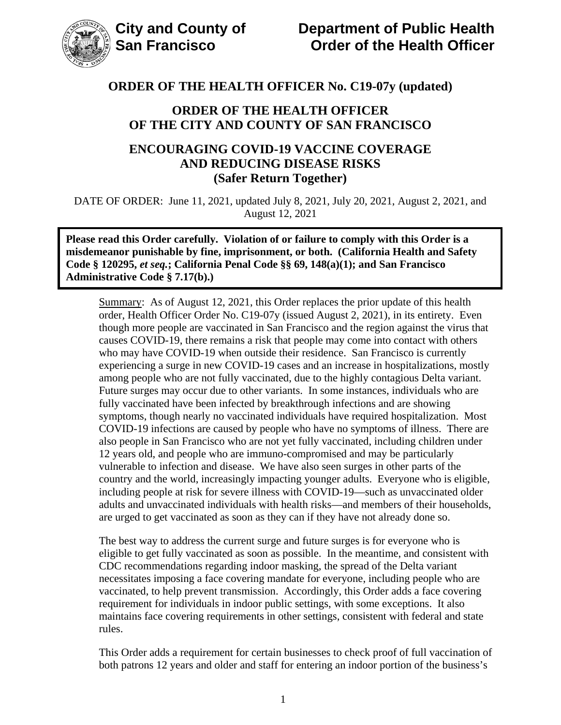

## **ORDER OF THE HEALTH OFFICER OF THE CITY AND COUNTY OF SAN FRANCISCO**

## **ENCOURAGING COVID-19 VACCINE COVERAGE AND REDUCING DISEASE RISKS (Safer Return Together)**

DATE OF ORDER: June 11, 2021, updated July 8, 2021, July 20, 2021, August 2, 2021, and August 12, 2021

**Please read this Order carefully. Violation of or failure to comply with this Order is a misdemeanor punishable by fine, imprisonment, or both. (California Health and Safety Code § 120295,** *et seq.***; California Penal Code §§ 69, 148(a)(1); and San Francisco Administrative Code § 7.17(b).)**

Summary: As of August 12, 2021, this Order replaces the prior update of this health order, Health Officer Order No. C19-07y (issued August 2, 2021), in its entirety. Even though more people are vaccinated in San Francisco and the region against the virus that causes COVID-19, there remains a risk that people may come into contact with others who may have COVID-19 when outside their residence. San Francisco is currently experiencing a surge in new COVID-19 cases and an increase in hospitalizations, mostly among people who are not fully vaccinated, due to the highly contagious Delta variant. Future surges may occur due to other variants. In some instances, individuals who are fully vaccinated have been infected by breakthrough infections and are showing symptoms, though nearly no vaccinated individuals have required hospitalization. Most COVID-19 infections are caused by people who have no symptoms of illness. There are also people in San Francisco who are not yet fully vaccinated, including children under 12 years old, and people who are immuno-compromised and may be particularly vulnerable to infection and disease. We have also seen surges in other parts of the country and the world, increasingly impacting younger adults. Everyone who is eligible, including people at risk for severe illness with COVID-19—such as unvaccinated older adults and unvaccinated individuals with health risks—and members of their households, are urged to get vaccinated as soon as they can if they have not already done so.

The best way to address the current surge and future surges is for everyone who is eligible to get fully vaccinated as soon as possible. In the meantime, and consistent with CDC recommendations regarding indoor masking, the spread of the Delta variant necessitates imposing a face covering mandate for everyone, including people who are vaccinated, to help prevent transmission. Accordingly, this Order adds a face covering requirement for individuals in indoor public settings, with some exceptions. It also maintains face covering requirements in other settings, consistent with federal and state rules.

This Order adds a requirement for certain businesses to check proof of full vaccination of both patrons 12 years and older and staff for entering an indoor portion of the business's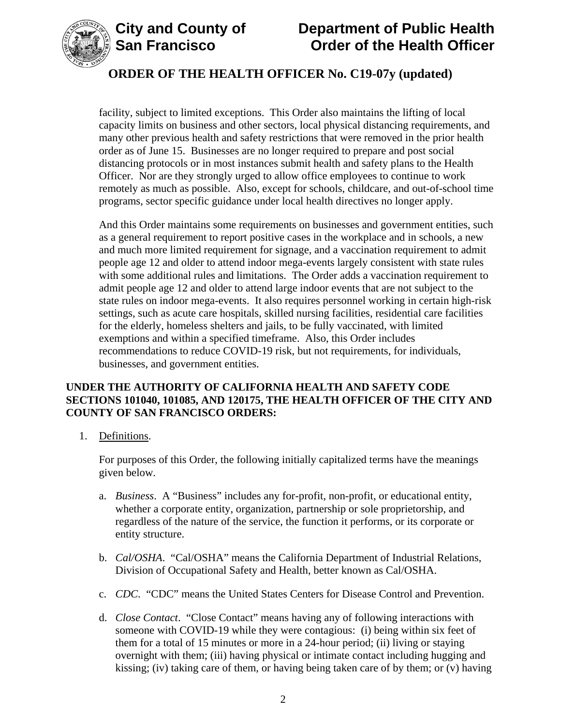

# **City and County of Department of Public Health Order of the Health Officer**

# **ORDER OF THE HEALTH OFFICER No. C19-07y (updated)**

facility, subject to limited exceptions. This Order also maintains the lifting of local capacity limits on business and other sectors, local physical distancing requirements, and many other previous health and safety restrictions that were removed in the prior health order as of June 15. Businesses are no longer required to prepare and post social distancing protocols or in most instances submit health and safety plans to the Health Officer. Nor are they strongly urged to allow office employees to continue to work remotely as much as possible. Also, except for schools, childcare, and out-of-school time programs, sector specific guidance under local health directives no longer apply.

And this Order maintains some requirements on businesses and government entities, such as a general requirement to report positive cases in the workplace and in schools, a new and much more limited requirement for signage, and a vaccination requirement to admit people age 12 and older to attend indoor mega-events largely consistent with state rules with some additional rules and limitations. The Order adds a vaccination requirement to admit people age 12 and older to attend large indoor events that are not subject to the state rules on indoor mega-events. It also requires personnel working in certain high-risk settings, such as acute care hospitals, skilled nursing facilities, residential care facilities for the elderly, homeless shelters and jails, to be fully vaccinated, with limited exemptions and within a specified timeframe. Also, this Order includes recommendations to reduce COVID-19 risk, but not requirements, for individuals, businesses, and government entities.

## **UNDER THE AUTHORITY OF CALIFORNIA HEALTH AND SAFETY CODE SECTIONS 101040, 101085, AND 120175, THE HEALTH OFFICER OF THE CITY AND COUNTY OF SAN FRANCISCO ORDERS:**

1. Definitions.

For purposes of this Order, the following initially capitalized terms have the meanings given below.

- a. *Business*. A "Business" includes any for-profit, non-profit, or educational entity, whether a corporate entity, organization, partnership or sole proprietorship, and regardless of the nature of the service, the function it performs, or its corporate or entity structure.
- b. *Cal/OSHA*. "Cal/OSHA" means the California Department of Industrial Relations, Division of Occupational Safety and Health, better known as Cal/OSHA.
- c. *CDC*. "CDC" means the United States Centers for Disease Control and Prevention.
- d. *Close Contact*. "Close Contact" means having any of following interactions with someone with COVID-19 while they were contagious: (i) being within six feet of them for a total of 15 minutes or more in a 24-hour period; (ii) living or staying overnight with them; (iii) having physical or intimate contact including hugging and kissing; (iv) taking care of them, or having being taken care of by them; or (v) having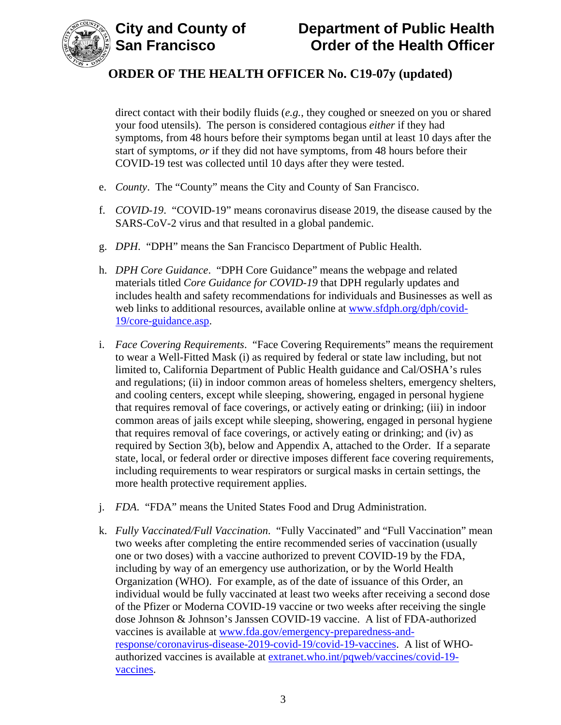



direct contact with their bodily fluids (*e.g.*, they coughed or sneezed on you or shared your food utensils). The person is considered contagious *either* if they had symptoms, from 48 hours before their symptoms began until at least 10 days after the start of symptoms, *or* if they did not have symptoms, from 48 hours before their COVID-19 test was collected until 10 days after they were tested.

- e. *County*. The "County" means the City and County of San Francisco.
- f. *COVID-19*. "COVID-19" means coronavirus disease 2019, the disease caused by the SARS-CoV-2 virus and that resulted in a global pandemic.
- g. *DPH*. "DPH" means the San Francisco Department of Public Health.
- h. *DPH Core Guidance*. "DPH Core Guidance" means the webpage and related materials titled *Core Guidance for COVID-19* that DPH regularly updates and includes health and safety recommendations for individuals and Businesses as well as web links to additional resources, available online at www.sfdph.org/dph/covid-19/core-guidance.asp.
- i. *Face Covering Requirements*. "Face Covering Requirements" means the requirement to wear a Well-Fitted Mask (i) as required by federal or state law including, but not limited to, California Department of Public Health guidance and Cal/OSHA's rules and regulations; (ii) in indoor common areas of homeless shelters, emergency shelters, and cooling centers, except while sleeping, showering, engaged in personal hygiene that requires removal of face coverings, or actively eating or drinking; (iii) in indoor common areas of jails except while sleeping, showering, engaged in personal hygiene that requires removal of face coverings, or actively eating or drinking; and (iv) as required by Section 3(b), below and Appendix A, attached to the Order. If a separate state, local, or federal order or directive imposes different face covering requirements, including requirements to wear respirators or surgical masks in certain settings, the more health protective requirement applies.
- j. *FDA*. "FDA" means the United States Food and Drug Administration.
- k. *Fully Vaccinated/Full Vaccination*. "Fully Vaccinated" and "Full Vaccination" mean two weeks after completing the entire recommended series of vaccination (usually one or two doses) with a vaccine authorized to prevent COVID-19 by the FDA, including by way of an emergency use authorization, or by the World Health Organization (WHO). For example, as of the date of issuance of this Order, an individual would be fully vaccinated at least two weeks after receiving a second dose of the Pfizer or Moderna COVID-19 vaccine or two weeks after receiving the single dose Johnson & Johnson's Janssen COVID-19 vaccine. A list of FDA-authorized vaccines is available at www.fda.gov/emergency-preparedness-andresponse/coronavirus-disease-2019-covid-19/covid-19-vaccines. A list of WHO[authorized vaccines is available at extranet.who.int/pqweb/vaccines/covid-19](http://extranet.who.int/pqweb/vaccines/covid-19-vaccines) vaccines.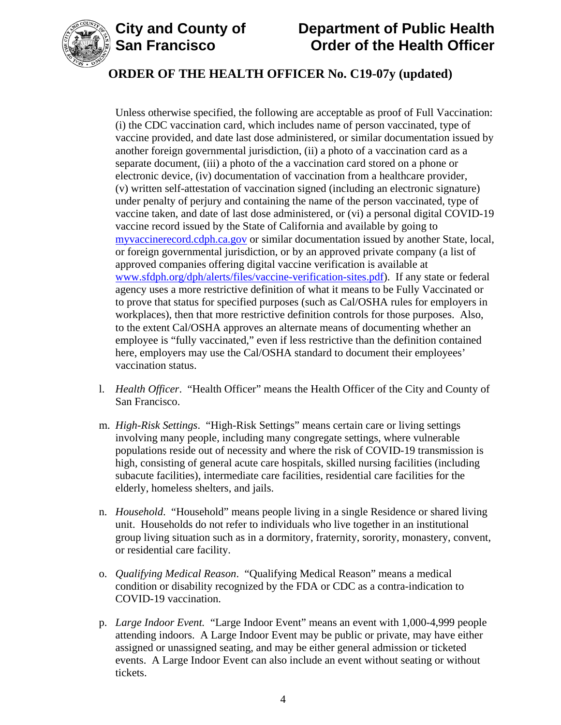

# **City and County of Department of Public Health Order of the Health Officer**

# **ORDER OF THE HEALTH OFFICER No. C19-07y (updated)**

Unless otherwise specified, the following are acceptable as proof of Full Vaccination: (i) the CDC vaccination card, which includes name of person vaccinated, type of vaccine provided, and date last dose administered, or similar documentation issued by another foreign governmental jurisdiction, (ii) a photo of a vaccination card as a separate document, (iii) a photo of the a vaccination card stored on a phone or electronic device, (iv) documentation of vaccination from a healthcare provider, (v) written self-attestation of vaccination signed (including an electronic signature) under penalty of perjury and containing the name of the person vaccinated, type of vaccine taken, and date of last dose administered, or (vi) a personal digital COVID-19 vaccine record issued by the State of California and available by going to [myvaccinerecord.cdph.ca.gov](http://myvaccinerecord.cdph.ca.gov) or similar documentation issued by another State, local, or foreign governmental jurisdiction, or by an approved private company (a list of approved companies offering digital vaccine verification is available at www.sfdph.org/dph/alerts/files/vaccine-verification-sites.pdf). If any state or federal agency uses a more restrictive definition of what it means to be Fully Vaccinated or to prove that status for specified purposes (such as Cal/OSHA rules for employers in workplaces), then that more restrictive definition controls for those purposes. Also, to the extent Cal/OSHA approves an alternate means of documenting whether an employee is "fully vaccinated," even if less restrictive than the definition contained here, employers may use the Cal/OSHA standard to document their employees' vaccination status.

- l. *Health Officer*. "Health Officer" means the Health Officer of the City and County of San Francisco.
- m. *High-Risk Settings*. "High-Risk Settings" means certain care or living settings involving many people, including many congregate settings, where vulnerable populations reside out of necessity and where the risk of COVID-19 transmission is high, consisting of general acute care hospitals, skilled nursing facilities (including subacute facilities), intermediate care facilities, residential care facilities for the elderly, homeless shelters, and jails.
- n. *Household*. "Household" means people living in a single Residence or shared living unit. Households do not refer to individuals who live together in an institutional group living situation such as in a dormitory, fraternity, sorority, monastery, convent, or residential care facility.
- o. *Qualifying Medical Reason*. "Qualifying Medical Reason" means a medical condition or disability recognized by the FDA or CDC as a contra-indication to COVID-19 vaccination.
- p. *Large Indoor Event.* "Large Indoor Event" means an event with 1,000-4,999 people attending indoors. A Large Indoor Event may be public or private, may have either assigned or unassigned seating, and may be either general admission or ticketed events. A Large Indoor Event can also include an event without seating or without tickets.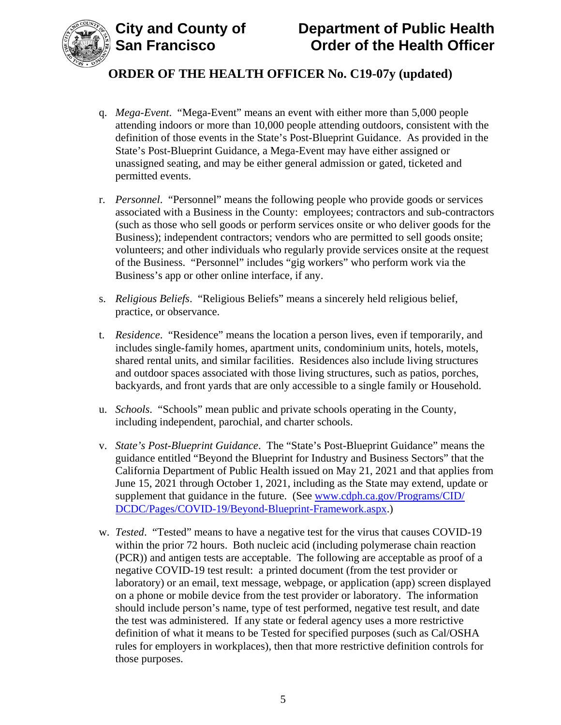

- q. *Mega-Event*. "Mega-Event" means an event with either more than 5,000 people attending indoors or more than 10,000 people attending outdoors, consistent with the definition of those events in the State's Post-Blueprint Guidance. As provided in the State's Post-Blueprint Guidance, a Mega-Event may have either assigned or unassigned seating, and may be either general admission or gated, ticketed and permitted events.
- r. *Personnel*."Personnel" means the following people who provide goods or services associated with a Business in the County: employees; contractors and sub-contractors (such as those who sell goods or perform services onsite or who deliver goods for the Business); independent contractors; vendors who are permitted to sell goods onsite; volunteers; and other individuals who regularly provide services onsite at the request of the Business. "Personnel" includes "gig workers" who perform work via the Business's app or other online interface, if any.
- s. *Religious Beliefs*. "Religious Beliefs" means a sincerely held religious belief, practice, or observance.
- t. *Residence*. "Residence" means the location a person lives, even if temporarily, and includes single-family homes, apartment units, condominium units, hotels, motels, shared rental units, and similar facilities. Residences also include living structures and outdoor spaces associated with those living structures, such as patios, porches, backyards, and front yards that are only accessible to a single family or Household.
- u. *Schools*. "Schools" mean public and private schools operating in the County, including independent, parochial, and charter schools.
- v. *State's Post-Blueprint Guidance*. The "State's Post-Blueprint Guidance" means the guidance entitled "Beyond the Blueprint for Industry and Business Sectors" that the California Department of Public Health issued on May 21, 2021 and that applies from June 15, 2021 through October 1, 2021, including as the State may extend, update or supplement that guidance in the future. (See www.cdph.ca.gov/Programs/CID/ [DCDC/Pages/COVID-19/Beyond-Blueprint-Framework.aspx.\)](www.cdph.ca.gov/Programs/CID/DCDC/Pages/COVID-19/Beyond-Blueprint-Framework.aspx)
- w. *Tested*. "Tested" means to have a negative test for the virus that causes COVID-19 within the prior 72 hours. Both nucleic acid (including polymerase chain reaction (PCR)) and antigen tests are acceptable. The following are acceptable as proof of a negative COVID-19 test result: a printed document (from the test provider or laboratory) or an email, text message, webpage, or application (app) screen displayed on a phone or mobile device from the test provider or laboratory. The information should include person's name, type of test performed, negative test result, and date the test was administered. If any state or federal agency uses a more restrictive definition of what it means to be Tested for specified purposes (such as Cal/OSHA rules for employers in workplaces), then that more restrictive definition controls for those purposes.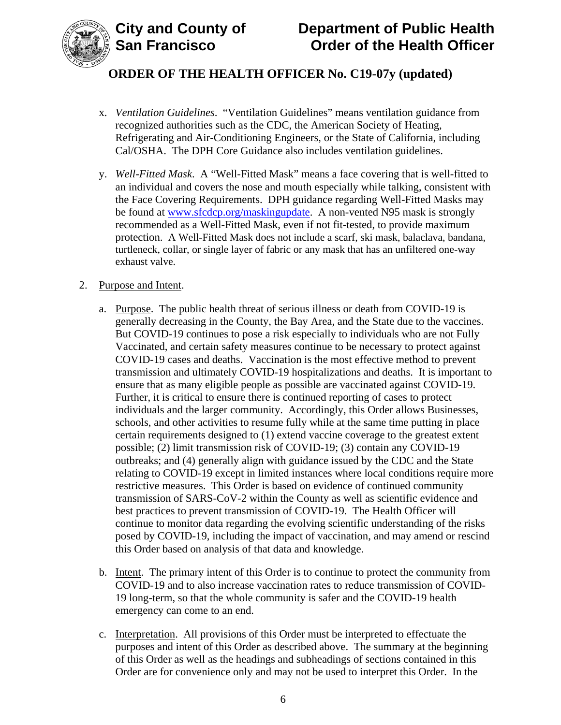



- x. *Ventilation Guidelines*. "Ventilation Guidelines" means ventilation guidance from recognized authorities such as the CDC, the American Society of Heating, Refrigerating and Air-Conditioning Engineers, or the State of California, including Cal/OSHA. The DPH Core Guidance also includes ventilation guidelines.
- y. *Well-Fitted Mask*. A "Well-Fitted Mask" means a face covering that is well-fitted to an individual and covers the nose and mouth especially while talking, consistent with the Face Covering Requirements. DPH guidance regarding Well-Fitted Masks may be found at www.sfcdcp.org/maskingupdate. A non-vented N95 mask is strongly recommended as a Well-Fitted Mask, even if not fit-tested, to provide maximum protection. A Well-Fitted Mask does not include a scarf, ski mask, balaclava, bandana, turtleneck, collar, or single layer of fabric or any mask that has an unfiltered one-way exhaust valve.

### 2. Purpose and Intent.

- a. Purpose. The public health threat of serious illness or death from COVID-19 is generally decreasing in the County, the Bay Area, and the State due to the vaccines. But COVID-19 continues to pose a risk especially to individuals who are not Fully Vaccinated, and certain safety measures continue to be necessary to protect against COVID-19 cases and deaths. Vaccination is the most effective method to prevent transmission and ultimately COVID-19 hospitalizations and deaths. It is important to ensure that as many eligible people as possible are vaccinated against COVID-19. Further, it is critical to ensure there is continued reporting of cases to protect individuals and the larger community. Accordingly, this Order allows Businesses, schools, and other activities to resume fully while at the same time putting in place certain requirements designed to (1) extend vaccine coverage to the greatest extent possible; (2) limit transmission risk of COVID-19; (3) contain any COVID-19 outbreaks; and (4) generally align with guidance issued by the CDC and the State relating to COVID-19 except in limited instances where local conditions require more restrictive measures. This Order is based on evidence of continued community transmission of SARS-CoV-2 within the County as well as scientific evidence and best practices to prevent transmission of COVID-19. The Health Officer will continue to monitor data regarding the evolving scientific understanding of the risks posed by COVID-19, including the impact of vaccination, and may amend or rescind this Order based on analysis of that data and knowledge.
- b. Intent. The primary intent of this Order is to continue to protect the community from COVID-19 and to also increase vaccination rates to reduce transmission of COVID-19 long-term, so that the whole community is safer and the COVID-19 health emergency can come to an end.
- c. Interpretation. All provisions of this Order must be interpreted to effectuate the purposes and intent of this Order as described above. The summary at the beginning of this Order as well as the headings and subheadings of sections contained in this Order are for convenience only and may not be used to interpret this Order. In the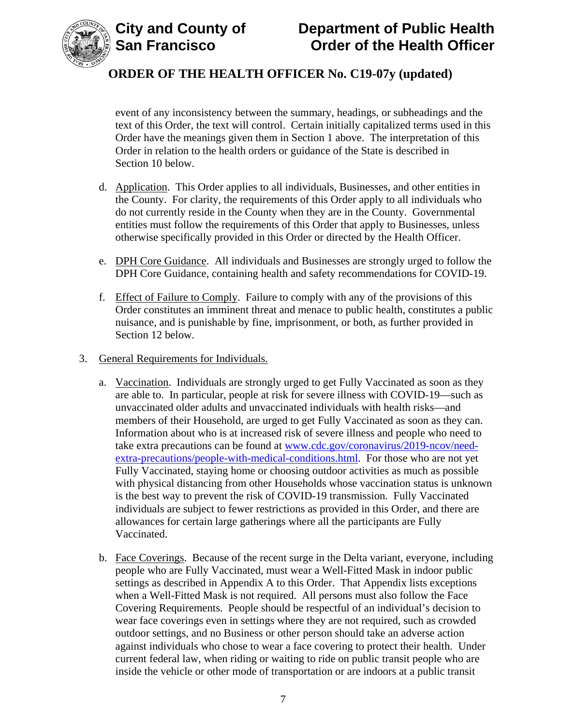



event of any inconsistency between the summary, headings, or subheadings and the text of this Order, the text will control. Certain initially capitalized terms used in this Order have the meanings given them in Section 1 above. The interpretation of this Order in relation to the health orders or guidance of the State is described in Section 10 below.

- d. Application. This Order applies to all individuals, Businesses, and other entities in the County. For clarity, the requirements of this Order apply to all individuals who do not currently reside in the County when they are in the County. Governmental entities must follow the requirements of this Order that apply to Businesses, unless otherwise specifically provided in this Order or directed by the Health Officer.
- e. DPH Core Guidance. All individuals and Businesses are strongly urged to follow the DPH Core Guidance, containing health and safety recommendations for COVID-19.
- f. Effect of Failure to Comply. Failure to comply with any of the provisions of this Order constitutes an imminent threat and menace to public health, constitutes a public nuisance, and is punishable by fine, imprisonment, or both, as further provided in Section 12 below.
- 3. General Requirements for Individuals.
	- a. Vaccination. Individuals are strongly urged to get Fully Vaccinated as soon as they are able to. In particular, people at risk for severe illness with COVID-19—such as unvaccinated older adults and unvaccinated individuals with health risks—and members of their Household, are urged to get Fully Vaccinated as soon as they can. Information about who is at increased risk of severe illness and people who need to take extra precautions can be found at www.cdc.gov/coronavirus/2019-ncov/needextra-precautions/people-with-medical-conditions.html. For those who are not yet Fully Vaccinated, staying home or choosing outdoor activities as much as possible with physical distancing from other Households whose vaccination status is unknown is the best way to prevent the risk of COVID-19 transmission. Fully Vaccinated individuals are subject to fewer restrictions as provided in this Order, and there are allowances for certain large gatherings where all the participants are Fully Vaccinated.
	- b. Face Coverings. Because of the recent surge in the Delta variant, everyone, including people who are Fully Vaccinated, must wear a Well-Fitted Mask in indoor public settings as described in Appendix A to this Order. That Appendix lists exceptions when a Well-Fitted Mask is not required. All persons must also follow the Face Covering Requirements. People should be respectful of an individual's decision to wear face coverings even in settings where they are not required, such as crowded outdoor settings, and no Business or other person should take an adverse action against individuals who chose to wear a face covering to protect their health. Under current federal law, when riding or waiting to ride on public transit people who are inside the vehicle or other mode of transportation or are indoors at a public transit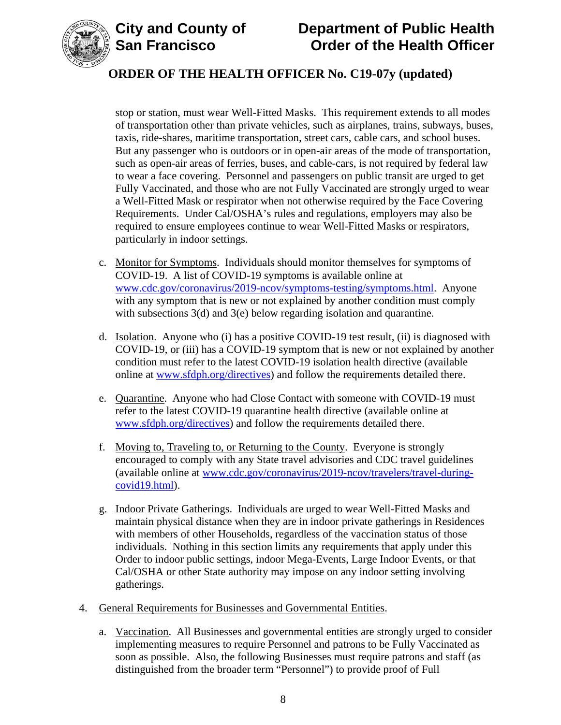

# **City and County of Department of Public Health Order of the Health Officer**

# **ORDER OF THE HEALTH OFFICER No. C19-07y (updated)**

stop or station, must wear Well-Fitted Masks. This requirement extends to all modes of transportation other than private vehicles, such as airplanes, trains, subways, buses, taxis, ride-shares, maritime transportation, street cars, cable cars, and school buses. But any passenger who is outdoors or in open-air areas of the mode of transportation, such as open-air areas of ferries, buses, and cable-cars, is not required by federal law to wear a face covering. Personnel and passengers on public transit are urged to get Fully Vaccinated, and those who are not Fully Vaccinated are strongly urged to wear a Well-Fitted Mask or respirator when not otherwise required by the Face Covering Requirements. Under Cal/OSHA's rules and regulations, employers may also be required to ensure employees continue to wear Well-Fitted Masks or respirators, particularly in indoor settings.

- c. Monitor for Symptoms. Individuals should monitor themselves for symptoms of COVID-19. A list of COVID-19 symptoms is available online at www.cdc.gov/coronavirus/2019-ncov/symptoms-testing/symptoms.html. Anyone with any symptom that is new or not explained by another condition must comply with subsections 3(d) and 3(e) below regarding isolation and quarantine.
- d. Isolation. Anyone who (i) has a positive COVID-19 test result, (ii) is diagnosed with COVID-19, or (iii) has a COVID-19 symptom that is new or not explained by another condition must refer to the latest COVID-19 isolation health directive (available online at www.sfdph.org/directives) and follow the requirements detailed there.
- e. Quarantine. Anyone who had Close Contact with someone with COVID-19 must refer to the latest COVID-19 quarantine health directive (available online at www.sfdph.org/directives) and follow the requirements detailed there.
- f. Moving to, Traveling to, or Returning to the County. Everyone is strongly encouraged to comply with any State travel advisories and CDC travel guidelines (available online at www.cdc.gov/coronavirus/2019-ncov/travelers/travel-duringcovid19.html).
- g. Indoor Private Gatherings. Individuals are urged to wear Well-Fitted Masks and maintain physical distance when they are in indoor private gatherings in Residences with members of other Households, regardless of the vaccination status of those individuals. Nothing in this section limits any requirements that apply under this Order to indoor public settings, indoor Mega-Events, Large Indoor Events, or that Cal/OSHA or other State authority may impose on any indoor setting involving gatherings.
- 4. General Requirements for Businesses and Governmental Entities.
	- a. Vaccination. All Businesses and governmental entities are strongly urged to consider implementing measures to require Personnel and patrons to be Fully Vaccinated as soon as possible. Also, the following Businesses must require patrons and staff (as distinguished from the broader term "Personnel") to provide proof of Full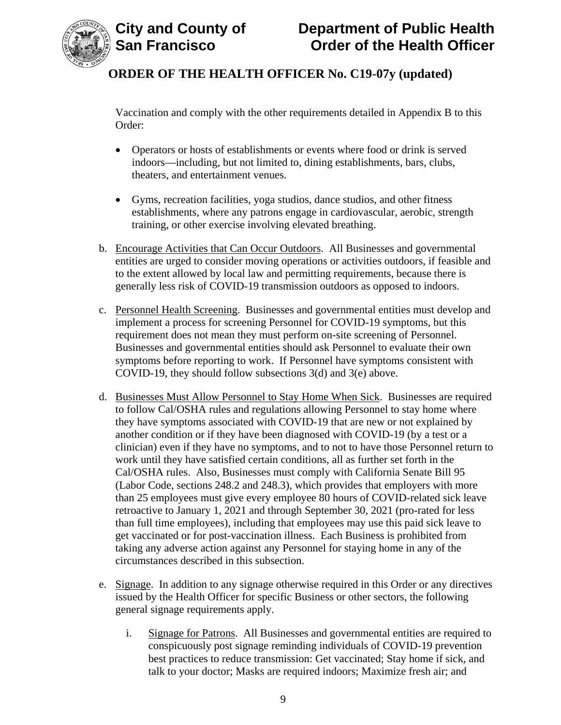

Vaccination and comply with the other requirements detailed in Appendix B to this Order:

- Operators or hosts of establishments or events where food or drink is served indoors—including, but not limited to, dining establishments, bars, clubs, theaters, and entertainment venues.
- Gyms, recreation facilities, yoga studios, dance studios, and other fitness establishments, where any patrons engage in cardiovascular, aerobic, strength training, or other exercise involving elevated breathing.
- b. Encourage Activities that Can Occur Outdoors. All Businesses and governmental entities are urged to consider moving operations or activities outdoors, if feasible and to the extent allowed by local law and permitting requirements, because there is generally less risk of COVID-19 transmission outdoors as opposed to indoors.
- c. Personnel Health Screening. Businesses and governmental entities must develop and implement a process for screening Personnel for COVID-19 symptoms, but this requirement does not mean they must perform on-site screening of Personnel. Businesses and governmental entities should ask Personnel to evaluate their own symptoms before reporting to work. If Personnel have symptoms consistent with COVID-19, they should follow subsections 3(d) and 3(e) above.
- d. Businesses Must Allow Personnel to Stay Home When Sick. Businesses are required to follow Cal/OSHA rules and regulations allowing Personnel to stay home where they have symptoms associated with COVID-19 that are new or not explained by another condition or if they have been diagnosed with COVID-19 (by a test or a clinician) even if they have no symptoms, and to not to have those Personnel return to work until they have satisfied certain conditions, all as further set forth in the Cal/OSHA rules. Also, Businesses must comply with California Senate Bill 95 (Labor Code, sections 248.2 and 248.3), which provides that employers with more than 25 employees must give every employee 80 hours of COVID-related sick leave retroactive to January 1, 2021 and through September 30, 2021 (pro-rated for less than full time employees), including that employees may use this paid sick leave to get vaccinated or for post-vaccination illness. Each Business is prohibited from taking any adverse action against any Personnel for staying home in any of the circumstances described in this subsection.
- e. Signage. In addition to any signage otherwise required in this Order or any directives issued by the Health Officer for specific Business or other sectors, the following general signage requirements apply.
	- i. Signage for Patrons. All Businesses and governmental entities are required to conspicuously post signage reminding individuals of COVID-19 prevention best practices to reduce transmission: Get vaccinated; Stay home if sick, and talk to your doctor; Masks are required indoors; Maximize fresh air; and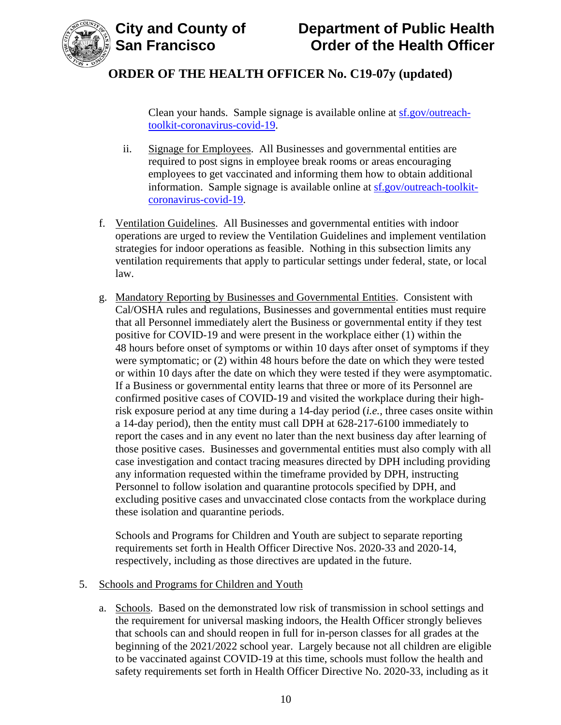

[Clean your hands. Sample signage is available online at sf.gov/outreach](www.sf.gov/outreach-toolkit-coronavirus-covid-19)toolkit-coronavirus-covid-19.

- ii. Signage for Employees. All Businesses and governmental entities are required to post signs in employee break rooms or areas encouraging employees to get vaccinated and informing them how to obtain additional information. Sample signage is [available online at sf.gov/outreach-toolkit](www.sf.gov/outreach-toolkit-coronavirus-covid-19)coronavirus-covid-19.
- f. Ventilation Guidelines. All Businesses and governmental entities with indoor operations are urged to review the Ventilation Guidelines and implement ventilation strategies for indoor operations as feasible. Nothing in this subsection limits any ventilation requirements that apply to particular settings under federal, state, or local law.
- g. Mandatory Reporting by Businesses and Governmental Entities. Consistent with Cal/OSHA rules and regulations, Businesses and governmental entities must require that all Personnel immediately alert the Business or governmental entity if they test positive for COVID-19 and were present in the workplace either (1) within the 48 hours before onset of symptoms or within 10 days after onset of symptoms if they were symptomatic; or (2) within 48 hours before the date on which they were tested or within 10 days after the date on which they were tested if they were asymptomatic. If a Business or governmental entity learns that three or more of its Personnel are confirmed positive cases of COVID-19 and visited the workplace during their highrisk exposure period at any time during a 14-day period (*i.e.*, three cases onsite within a 14-day period), then the entity must call DPH at 628-217-6100 immediately to report the cases and in any event no later than the next business day after learning of those positive cases. Businesses and governmental entities must also comply with all case investigation and contact tracing measures directed by DPH including providing any information requested within the timeframe provided by DPH, instructing Personnel to follow isolation and quarantine protocols specified by DPH, and excluding positive cases and unvaccinated close contacts from the workplace during these isolation and quarantine periods.

Schools and Programs for Children and Youth are subject to separate reporting requirements set forth in Health Officer Directive Nos. 2020-33 and 2020-14, respectively, including as those directives are updated in the future.

## 5. Schools and Programs for Children and Youth

a. Schools. Based on the demonstrated low risk of transmission in school settings and the requirement for universal masking indoors, the Health Officer strongly believes that schools can and should reopen in full for in-person classes for all grades at the beginning of the 2021/2022 school year. Largely because not all children are eligible to be vaccinated against COVID-19 at this time, schools must follow the health and safety requirements set forth in Health Officer Directive No. 2020-33, including as it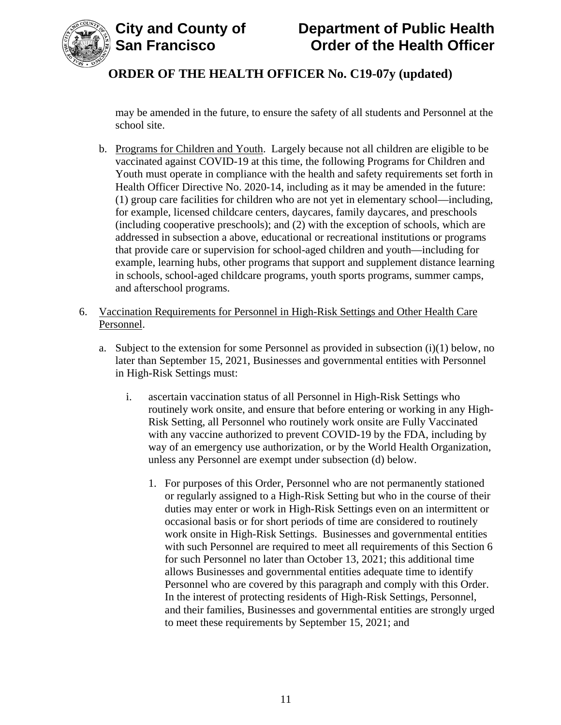

may be amended in the future, to ensure the safety of all students and Personnel at the school site.

- b. Programs for Children and Youth. Largely because not all children are eligible to be vaccinated against COVID-19 at this time, the following Programs for Children and Youth must operate in compliance with the health and safety requirements set forth in Health Officer Directive No. 2020-14, including as it may be amended in the future: (1) group care facilities for children who are not yet in elementary school—including, for example, licensed childcare centers, daycares, family daycares, and preschools (including cooperative preschools); and (2) with the exception of schools, which are addressed in subsection a above, educational or recreational institutions or programs that provide care or supervision for school-aged children and youth—including for example, learning hubs, other programs that support and supplement distance learning in schools, school-aged childcare programs, youth sports programs, summer camps, and afterschool programs.
- 6. Vaccination Requirements for Personnel in High-Risk Settings and Other Health Care Personnel.
	- a. Subject to the extension for some Personnel as provided in subsection  $(i)(1)$  below, no later than September 15, 2021, Businesses and governmental entities with Personnel in High-Risk Settings must:
		- i. ascertain vaccination status of all Personnel in High-Risk Settings who routinely work onsite, and ensure that before entering or working in any High-Risk Setting, all Personnel who routinely work onsite are Fully Vaccinated with any vaccine authorized to prevent COVID-19 by the FDA, including by way of an emergency use authorization, or by the World Health Organization, unless any Personnel are exempt under subsection (d) below.
			- 1. For purposes of this Order, Personnel who are not permanently stationed or regularly assigned to a High-Risk Setting but who in the course of their duties may enter or work in High-Risk Settings even on an intermittent or occasional basis or for short periods of time are considered to routinely work onsite in High-Risk Settings. Businesses and governmental entities with such Personnel are required to meet all requirements of this Section 6 for such Personnel no later than October 13, 2021; this additional time allows Businesses and governmental entities adequate time to identify Personnel who are covered by this paragraph and comply with this Order. In the interest of protecting residents of High-Risk Settings, Personnel, and their families, Businesses and governmental entities are strongly urged to meet these requirements by September 15, 2021; and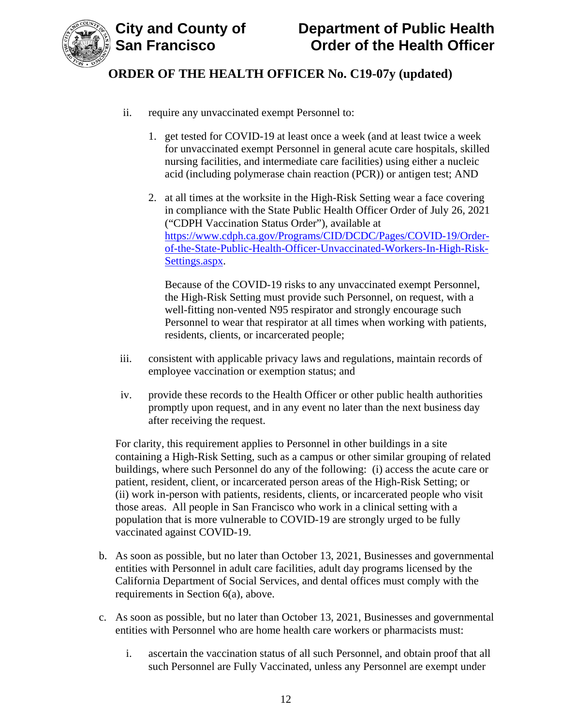

- ii. require any unvaccinated exempt Personnel to:
	- 1. get tested for COVID-19 at least once a week (and at least twice a week for unvaccinated exempt Personnel in general acute care hospitals, skilled nursing facilities, and intermediate care facilities) using either a nucleic acid (including polymerase chain reaction (PCR)) or antigen test; AND
	- 2. at all times at the worksite in the High-Risk Setting wear a face covering in compliance with the State Public Health Officer Order of July 26, 2021 ("CDPH Vaccination Status Order"), available at https://www.cdph.ca.gov/Programs/CID/DCDC/Pages/COVID-19/Orderof-the-State-Public-Health-Officer-Unvaccinated-Workers-In-High-Risk-Settings.aspx.

Because of the COVID-19 risks to any unvaccinated exempt Personnel, the High-Risk Setting must provide such Personnel, on request, with a well-fitting non-vented N95 respirator and strongly encourage such Personnel to wear that respirator at all times when working with patients, residents, clients, or incarcerated people;

- iii. consistent with applicable privacy laws and regulations, maintain records of employee vaccination or exemption status; and
- iv. provide these records to the Health Officer or other public health authorities promptly upon request, and in any event no later than the next business day after receiving the request.

For clarity, this requirement applies to Personnel in other buildings in a site containing a High-Risk Setting, such as a campus or other similar grouping of related buildings, where such Personnel do any of the following: (i) access the acute care or patient, resident, client, or incarcerated person areas of the High-Risk Setting; or (ii) work in-person with patients, residents, clients, or incarcerated people who visit those areas. All people in San Francisco who work in a clinical setting with a population that is more vulnerable to COVID-19 are strongly urged to be fully vaccinated against COVID-19.

- b. As soon as possible, but no later than October 13, 2021, Businesses and governmental entities with Personnel in adult care facilities, adult day programs licensed by the California Department of Social Services, and dental offices must comply with the requirements in Section 6(a), above.
- c. As soon as possible, but no later than October 13, 2021, Businesses and governmental entities with Personnel who are home health care workers or pharmacists must:
	- i. ascertain the vaccination status of all such Personnel, and obtain proof that all such Personnel are Fully Vaccinated, unless any Personnel are exempt under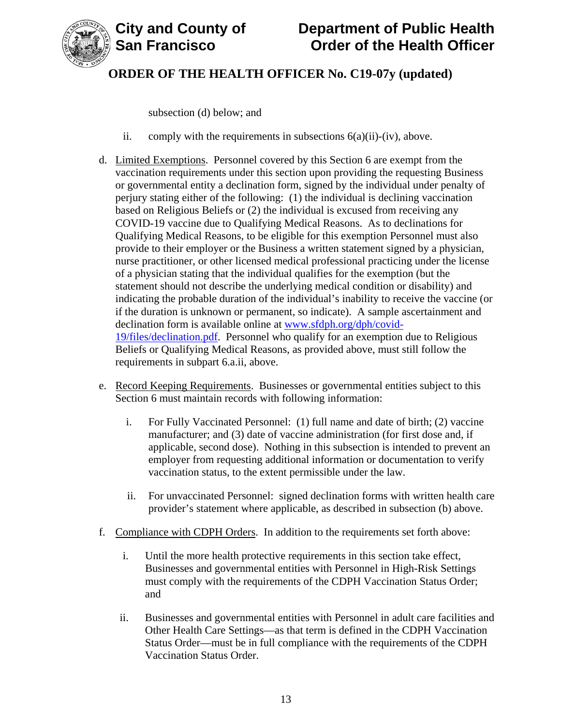

subsection (d) below; and

- ii. comply with the requirements in subsections  $6(a)(ii)$ -(iv), above.
- d. Limited Exemptions. Personnel covered by this Section 6 are exempt from the vaccination requirements under this section upon providing the requesting Business or governmental entity a declination form, signed by the individual under penalty of perjury stating either of the following: (1) the individual is declining vaccination based on Religious Beliefs or (2) the individual is excused from receiving any COVID-19 vaccine due to Qualifying Medical Reasons. As to declinations for Qualifying Medical Reasons, to be eligible for this exemption Personnel must also provide to their employer or the Business a written statement signed by a physician, nurse practitioner, or other licensed medical professional practicing under the license of a physician stating that the individual qualifies for the exemption (but the statement should not describe the underlying medical condition or disability) and indicating the probable duration of the individual's inability to receive the vaccine (or if the duration is unknown or permanent, so indicate). A sample ascertainment and declination form is available online at www.sfdph.org/dph/covid-19/files/declination.pdf. Personnel who qualify for an exemption due to Religious Beliefs or Qualifying Medical Reasons, as provided above, must still follow the requirements in subpart 6.a.ii, above.
- e. Record Keeping Requirements. Businesses or governmental entities subject to this Section 6 must maintain records with following information:
	- i. For Fully Vaccinated Personnel: (1) full name and date of birth; (2) vaccine manufacturer; and (3) date of vaccine administration (for first dose and, if applicable, second dose). Nothing in this subsection is intended to prevent an employer from requesting additional information or documentation to verify vaccination status, to the extent permissible under the law.
	- ii. For unvaccinated Personnel: signed declination forms with written health care provider's statement where applicable, as described in subsection (b) above.
- f. Compliance with CDPH Orders. In addition to the requirements set forth above:
	- i. Until the more health protective requirements in this section take effect, Businesses and governmental entities with Personnel in High-Risk Settings must comply with the requirements of the CDPH Vaccination Status Order; and
	- ii. Businesses and governmental entities with Personnel in adult care facilities and Other Health Care Settings—as that term is defined in the CDPH Vaccination Status Order—must be in full compliance with the requirements of the CDPH Vaccination Status Order.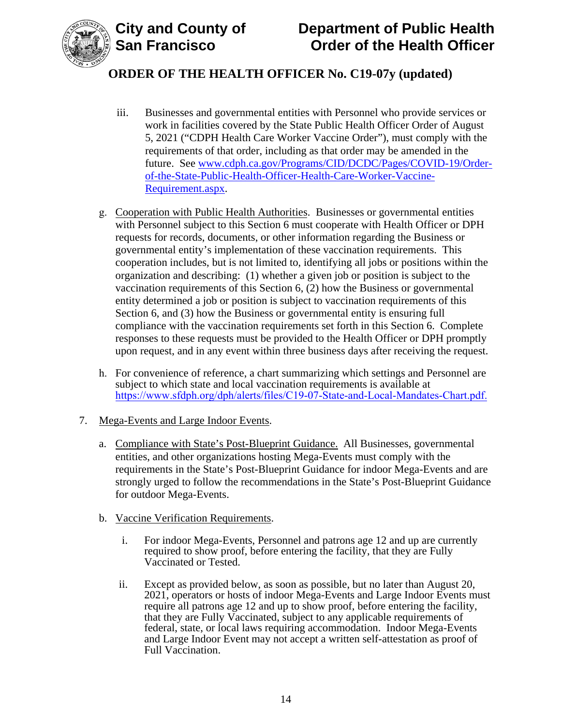



- iii. Businesses and governmental entities with Personnel who provide services or work in facilities covered by the State Public Health Officer Order of August 5, 2021 ("CDPH Health Care Worker Vaccine Order"), must comply with the requirements of that order, including as that order may be amended in the future. See www.cdph.ca.gov/Programs/CID/DCDC/Pages/COVID-19/Orderof-the-State-Public-Health-Officer-Health-Care-Worker-Vaccine-Requirement.aspx.
- g. Cooperation with Public Health Authorities. Businesses or governmental entities with Personnel subject to this Section 6 must cooperate with Health Officer or DPH requests for records, documents, or other information regarding the Business or governmental entity's implementation of these vaccination requirements. This cooperation includes, but is not limited to, identifying all jobs or positions within the organization and describing: (1) whether a given job or position is subject to the vaccination requirements of this Section 6, (2) how the Business or governmental entity determined a job or position is subject to vaccination requirements of this Section 6, and (3) how the Business or governmental entity is ensuring full compliance with the vaccination requirements set forth in this Section 6. Complete responses to these requests must be provided to the Health Officer or DPH promptly upon request, and in any event within three business days after receiving the request.
- h. For convenience of reference, a chart summarizing which settings and Personnel are subject to which state and local vaccination requirements is available at [https://www.sfdph.org/dph/alerts/files/C19-07-State-and-Local-Mandates-Chart.pdf.](https://www.sfdph.org/dph/alerts/files/C19-07-State-and-Local-Mandates-Chart.pdf)
- 7. Mega-Events and Large Indoor Events.
	- a. Compliance with State's Post-Blueprint Guidance. All Businesses, governmental entities, and other organizations hosting Mega-Events must comply with the requirements in the State's Post-Blueprint Guidance for indoor Mega-Events and are strongly urged to follow the recommendations in the State's Post-Blueprint Guidance for outdoor Mega-Events.
	- b. Vaccine Verification Requirements.
		- i. For indoor Mega-Events, Personnel and patrons age 12 and up are currently required to show proof, before entering the facility, that they are Fully Vaccinated or Tested.
		- ii. Except as provided below, as soon as possible, but no later than August 20, 2021, operators or hosts of indoor Mega-Events and Large Indoor Events must require all patrons age 12 and up to show proof, before entering the facility, that they are Fully Vaccinated, subject to any applicable requirements of federal, state, or local laws requiring accommodation. Indoor Mega-Events and Large Indoor Event may not accept a written self-attestation as proof of Full Vaccination.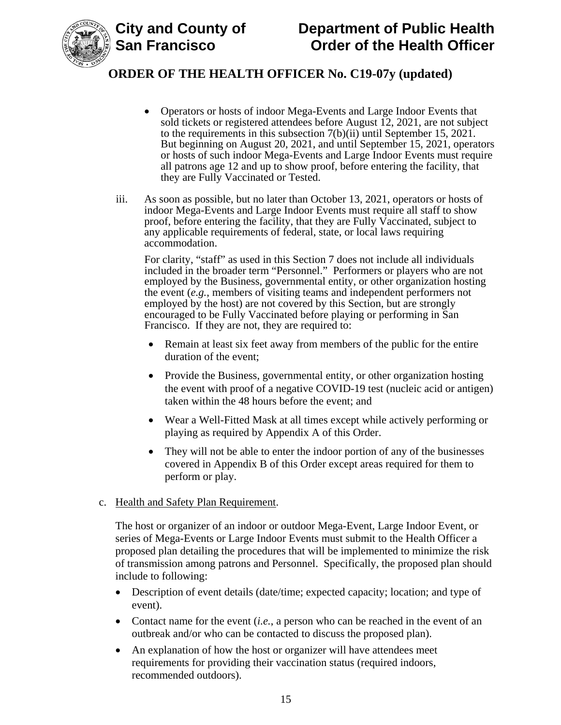

- Operators or hosts of indoor Mega-Events and Large Indoor Events that sold tickets or registered attendees before August 12, 2021, are not subject to the requirements in this subsection 7(b)(ii) until September 15, 2021. But beginning on August 20, 2021, and until September 15, 2021, operators or hosts of such indoor Mega-Events and Large Indoor Events must require all patrons age 12 and up to show proof, before entering the facility, that they are Fully Vaccinated or Tested.
- iii. As soon as possible, but no later than October 13, 2021, operators or hosts of indoor Mega-Events and Large Indoor Events must require all staff to show proof, before entering the facility, that they are Fully Vaccinated, subject to any applicable requirements of federal, state, or local laws requiring accommodation.

For clarity, "staff" as used in this Section 7 does not include all individuals included in the broader term "Personnel." Performers or players who are not employed by the Business, governmental entity, or other organization hosting the event (*e.g.*, members of visiting teams and independent performers not employed by the host) are not covered by this Section, but are strongly encouraged to be Fully Vaccinated before playing or performing in San Francisco. If they are not, they are required to:

- Remain at least six feet away from members of the public for the entire duration of the event;
- Provide the Business, governmental entity, or other organization hosting the event with proof of a negative COVID-19 test (nucleic acid or antigen) taken within the 48 hours before the event; and
- Wear a Well-Fitted Mask at all times except while actively performing or playing as required by Appendix A of this Order.
- They will not be able to enter the indoor portion of any of the businesses covered in Appendix B of this Order except areas required for them to perform or play.
- c. Health and Safety Plan Requirement.

The host or organizer of an indoor or outdoor Mega-Event, Large Indoor Event, or series of Mega-Events or Large Indoor Events must submit to the Health Officer a proposed plan detailing the procedures that will be implemented to minimize the risk of transmission among patrons and Personnel. Specifically, the proposed plan should include to following:

- Description of event details (date/time; expected capacity; location; and type of event).
- Contact name for the event  $(i.e., a$  person who can be reached in the event of an outbreak and/or who can be contacted to discuss the proposed plan).
- An explanation of how the host or organizer will have attendees meet requirements for providing their vaccination status (required indoors, recommended outdoors).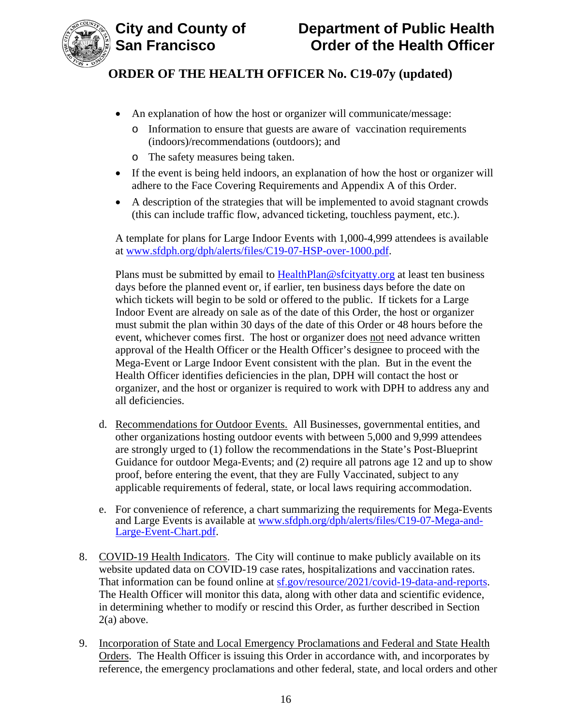

- An explanation of how the host or organizer will communicate/message:
	- o Information to ensure that guests are aware of vaccination requirements (indoors)/recommendations (outdoors); and
	- o The safety measures being taken.
- If the event is being held indoors, an explanation of how the host or organizer will adhere to the Face Covering Requirements and Appendix A of this Order.
- A description of the strategies that will be implemented to avoid stagnant crowds (this can include traffic flow, advanced ticketing, touchless payment, etc.).

A template for plans for Large Indoor Events with 1,000-4,999 attendees is available at www.sfdph.org/dph/alerts/files/C19-07-HSP-over-1000.pdf.

Plans must be submitted by email to HealthPlan@sfcityatty.org at least ten business days before the planned event or, if earlier, ten business days before the date on which tickets will begin to be sold or offered to the public. If tickets for a Large Indoor Event are already on sale as of the date of this Order, the host or organizer must submit the plan within 30 days of the date of this Order or 48 hours before the event, whichever comes first. The host or organizer does not need advance written approval of the Health Officer or the Health Officer's designee to proceed with the Mega-Event or Large Indoor Event consistent with the plan. But in the event the Health Officer identifies deficiencies in the plan, DPH will contact the host or organizer, and the host or organizer is required to work with DPH to address any and all deficiencies.

- d. Recommendations for Outdoor Events. All Businesses, governmental entities, and other organizations hosting outdoor events with between 5,000 and 9,999 attendees are strongly urged to (1) follow the recommendations in the State's Post-Blueprint Guidance for outdoor Mega-Events; and (2) require all patrons age 12 and up to show proof, before entering the event, that they are Fully Vaccinated, subject to any applicable requirements of federal, state, or local laws requiring accommodation.
- e. For convenience of reference, a chart summarizing the requirements for Mega-Events and Large Events is available at www.sfdph.org/dph/alerts/files/C19-07-Mega-and-Large-Event-Chart.pdf.
- 8. COVID-19 Health Indicators. The City will continue to make publicly available on its website updated data on COVID-19 case rates, hospitalizations and vaccination rates. That information can be found online at sf.gov/resource/2021/covid-19-data-and-reports. The Health Officer will monitor this data, along with other data and scientific evidence, in determining whether to modify or rescind this Order, as further described in Section 2(a) above.
- 9. Incorporation of State and Local Emergency Proclamations and Federal and State Health Orders. The Health Officer is issuing this Order in accordance with, and incorporates by reference, the emergency proclamations and other federal, state, and local orders and other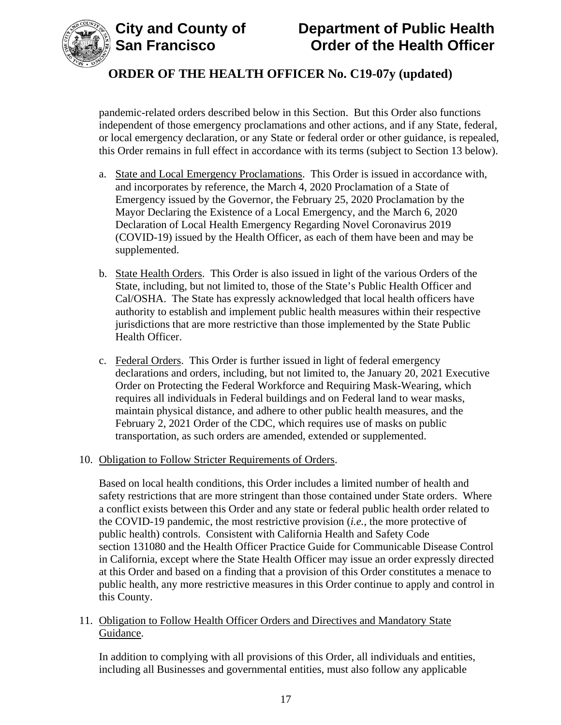

pandemic-related orders described below in this Section. But this Order also functions independent of those emergency proclamations and other actions, and if any State, federal, or local emergency declaration, or any State or federal order or other guidance, is repealed, this Order remains in full effect in accordance with its terms (subject to Section 13 below).

- a. State and Local Emergency Proclamations. This Order is issued in accordance with, and incorporates by reference, the March 4, 2020 Proclamation of a State of Emergency issued by the Governor, the February 25, 2020 Proclamation by the Mayor Declaring the Existence of a Local Emergency, and the March 6, 2020 Declaration of Local Health Emergency Regarding Novel Coronavirus 2019 (COVID-19) issued by the Health Officer, as each of them have been and may be supplemented.
- b. State Health Orders. This Order is also issued in light of the various Orders of the State, including, but not limited to, those of the State's Public Health Officer and Cal/OSHA. The State has expressly acknowledged that local health officers have authority to establish and implement public health measures within their respective jurisdictions that are more restrictive than those implemented by the State Public Health Officer.
- c. Federal Orders. This Order is further issued in light of federal emergency declarations and orders, including, but not limited to, the January 20, 2021 Executive Order on Protecting the Federal Workforce and Requiring Mask-Wearing, which requires all individuals in Federal buildings and on Federal land to wear masks, maintain physical distance, and adhere to other public health measures, and the February 2, 2021 Order of the CDC, which requires use of masks on public transportation, as such orders are amended, extended or supplemented.
- 10. Obligation to Follow Stricter Requirements of Orders.

Based on local health conditions, this Order includes a limited number of health and safety restrictions that are more stringent than those contained under State orders. Where a conflict exists between this Order and any state or federal public health order related to the COVID-19 pandemic, the most restrictive provision (*i.e.*, the more protective of public health) controls. Consistent with California Health and Safety Code section 131080 and the Health Officer Practice Guide for Communicable Disease Control in California, except where the State Health Officer may issue an order expressly directed at this Order and based on a finding that a provision of this Order constitutes a menace to public health, any more restrictive measures in this Order continue to apply and control in this County.

11. Obligation to Follow Health Officer Orders and Directives and Mandatory State Guidance.

In addition to complying with all provisions of this Order, all individuals and entities, including all Businesses and governmental entities, must also follow any applicable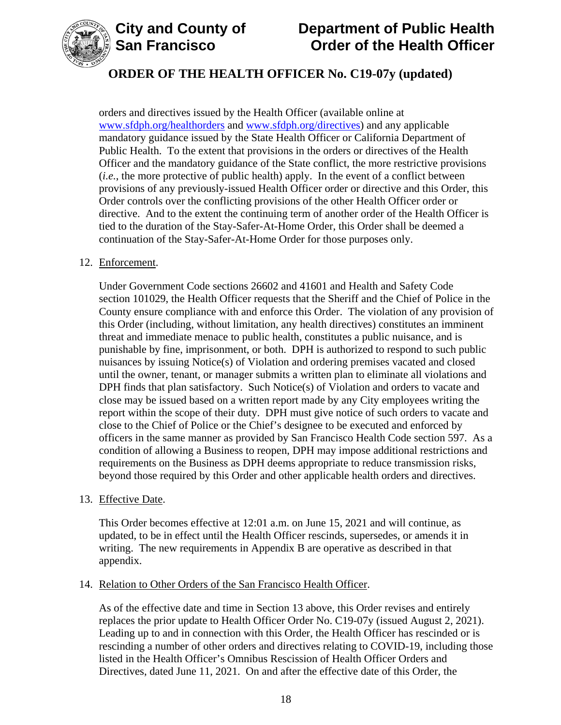



orders and directives issued by the Health Officer (available online at www.sfdph.org/healthorders and www.sfdph.org/directives) and any applicable mandatory guidance issued by the State Health Officer or California Department of Public Health. To the extent that provisions in the orders or directives of the Health Officer and the mandatory guidance of the State conflict, the more restrictive provisions (*i.e.*, the more protective of public health) apply. In the event of a conflict between provisions of any previously-issued Health Officer order or directive and this Order, this Order controls over the conflicting provisions of the other Health Officer order or directive. And to the extent the continuing term of another order of the Health Officer is tied to the duration of the Stay-Safer-At-Home Order, this Order shall be deemed a continuation of the Stay-Safer-At-Home Order for those purposes only.

#### 12. Enforcement.

Under Government Code sections 26602 and 41601 and Health and Safety Code section 101029, the Health Officer requests that the Sheriff and the Chief of Police in the County ensure compliance with and enforce this Order. The violation of any provision of this Order (including, without limitation, any health directives) constitutes an imminent threat and immediate menace to public health, constitutes a public nuisance, and is punishable by fine, imprisonment, or both. DPH is authorized to respond to such public nuisances by issuing Notice(s) of Violation and ordering premises vacated and closed until the owner, tenant, or manager submits a written plan to eliminate all violations and DPH finds that plan satisfactory. Such Notice(s) of Violation and orders to vacate and close may be issued based on a written report made by any City employees writing the report within the scope of their duty. DPH must give notice of such orders to vacate and close to the Chief of Police or the Chief's designee to be executed and enforced by officers in the same manner as provided by San Francisco Health Code section 597. As a condition of allowing a Business to reopen, DPH may impose additional restrictions and requirements on the Business as DPH deems appropriate to reduce transmission risks, beyond those required by this Order and other applicable health orders and directives.

#### 13. Effective Date.

This Order becomes effective at 12:01 a.m. on June 15, 2021 and will continue, as updated, to be in effect until the Health Officer rescinds, supersedes, or amends it in writing. The new requirements in Appendix B are operative as described in that appendix.

#### 14. Relation to Other Orders of the San Francisco Health Officer.

As of the effective date and time in Section 13 above, this Order revises and entirely replaces the prior update to Health Officer Order No. C19-07y (issued August 2, 2021). Leading up to and in connection with this Order, the Health Officer has rescinded or is rescinding a number of other orders and directives relating to COVID-19, including those listed in the Health Officer's Omnibus Rescission of Health Officer Orders and Directives, dated June 11, 2021. On and after the effective date of this Order, the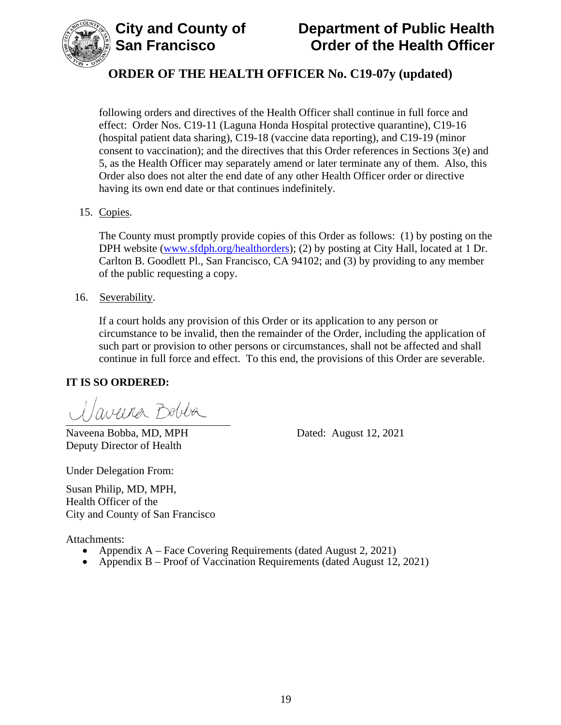

following orders and directives of the Health Officer shall continue in full force and effect: Order Nos. C19-11 (Laguna Honda Hospital protective quarantine), C19-16 (hospital patient data sharing), C19-18 (vaccine data reporting), and C19-19 (minor consent to vaccination); and the directives that this Order references in Sections 3(e) and 5, as the Health Officer may separately amend or later terminate any of them. Also, this Order also does not alter the end date of any other Health Officer order or directive having its own end date or that continues indefinitely.

15. Copies.

The County must promptly provide copies of this Order as follows: (1) by posting on the DPH website (www.sfdph.org/healthorders); (2) by posting at City Hall, located at 1 Dr. Carlton B. Goodlett Pl., San Francisco, CA 94102; and (3) by providing to any member of the public requesting a copy.

16. Severability.

If a court holds any provision of this Order or its application to any person or circumstance to be invalid, then the remainder of the Order, including the application of such part or provision to other persons or circumstances, shall not be affected and shall continue in full force and effect. To this end, the provisions of this Order are severable.

## **IT IS SO ORDERED:**

aveira Bobba

Naveena Bobba, MD, MPH Dated: August 12, 2021 Deputy Director of Health

Under Delegation From:

Susan Philip, MD, MPH, Health Officer of the City and County of San Francisco

Attachments:

- Appendix A Face Covering Requirements (dated August 2, 2021)
- Appendix B Proof of Vaccination Requirements (dated August 12, 2021)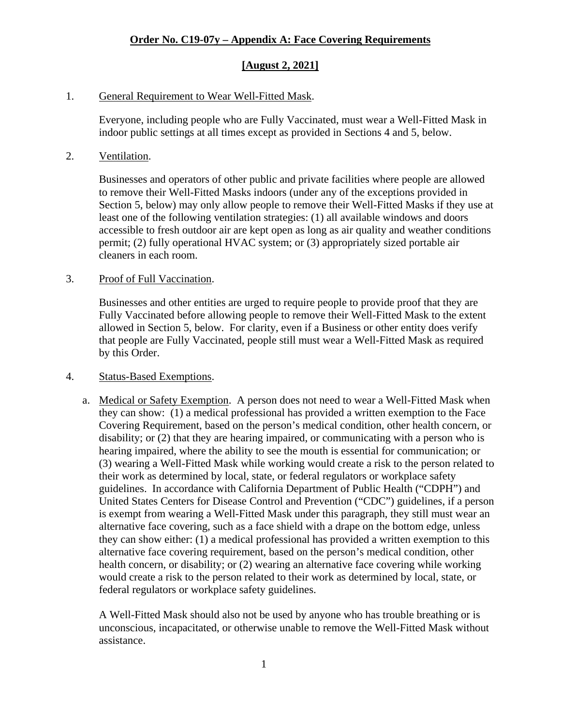## **[August 2, 2021]**

### 1. General Requirement to Wear Well-Fitted Mask.

Everyone, including people who are Fully Vaccinated, must wear a Well-Fitted Mask in indoor public settings at all times except as provided in Sections 4 and 5, below.

#### 2. Ventilation.

Businesses and operators of other public and private facilities where people are allowed to remove their Well-Fitted Masks indoors (under any of the exceptions provided in Section 5, below) may only allow people to remove their Well-Fitted Masks if they use at least one of the following ventilation strategies: (1) all available windows and doors accessible to fresh outdoor air are kept open as long as air quality and weather conditions permit; (2) fully operational HVAC system; or (3) appropriately sized portable air cleaners in each room.

### 3. Proof of Full Vaccination.

Businesses and other entities are urged to require people to provide proof that they are Fully Vaccinated before allowing people to remove their Well-Fitted Mask to the extent allowed in Section 5, below. For clarity, even if a Business or other entity does verify that people are Fully Vaccinated, people still must wear a Well-Fitted Mask as required by this Order.

#### 4. Status-Based Exemptions.

a. Medical or Safety Exemption. A person does not need to wear a Well-Fitted Mask when they can show: (1) a medical professional has provided a written exemption to the Face Covering Requirement, based on the person's medical condition, other health concern, or disability; or (2) that they are hearing impaired, or communicating with a person who is hearing impaired, where the ability to see the mouth is essential for communication; or (3) wearing a Well-Fitted Mask while working would create a risk to the person related to their work as determined by local, state, or federal regulators or workplace safety guidelines. In accordance with California Department of Public Health ("CDPH") and United States Centers for Disease Control and Prevention ("CDC") guidelines, if a person is exempt from wearing a Well-Fitted Mask under this paragraph, they still must wear an alternative face covering, such as a face shield with a drape on the bottom edge, unless they can show either: (1) a medical professional has provided a written exemption to this alternative face covering requirement, based on the person's medical condition, other health concern, or disability; or (2) wearing an alternative face covering while working would create a risk to the person related to their work as determined by local, state, or federal regulators or workplace safety guidelines.

A Well-Fitted Mask should also not be used by anyone who has trouble breathing or is unconscious, incapacitated, or otherwise unable to remove the Well-Fitted Mask without assistance.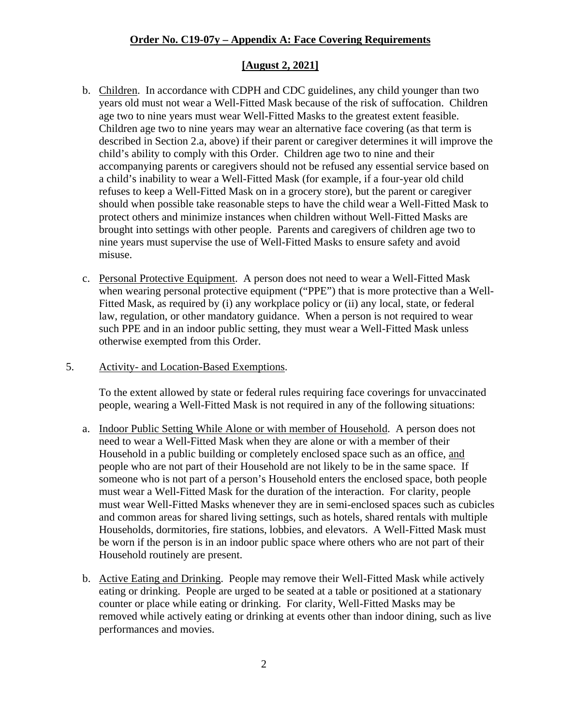## **[August 2, 2021]**

- b. Children. In accordance with CDPH and CDC guidelines, any child younger than two years old must not wear a Well-Fitted Mask because of the risk of suffocation. Children age two to nine years must wear Well-Fitted Masks to the greatest extent feasible. Children age two to nine years may wear an alternative face covering (as that term is described in Section 2.a, above) if their parent or caregiver determines it will improve the child's ability to comply with this Order. Children age two to nine and their accompanying parents or caregivers should not be refused any essential service based on a child's inability to wear a Well-Fitted Mask (for example, if a four-year old child refuses to keep a Well-Fitted Mask on in a grocery store), but the parent or caregiver should when possible take reasonable steps to have the child wear a Well-Fitted Mask to protect others and minimize instances when children without Well-Fitted Masks are brought into settings with other people. Parents and caregivers of children age two to nine years must supervise the use of Well-Fitted Masks to ensure safety and avoid misuse.
- c. Personal Protective Equipment. A person does not need to wear a Well-Fitted Mask when wearing personal protective equipment ("PPE") that is more protective than a Well-Fitted Mask, as required by (i) any workplace policy or (ii) any local, state, or federal law, regulation, or other mandatory guidance. When a person is not required to wear such PPE and in an indoor public setting, they must wear a Well-Fitted Mask unless otherwise exempted from this Order.
- 5. Activity- and Location-Based Exemptions.

To the extent allowed by state or federal rules requiring face coverings for unvaccinated people, wearing a Well-Fitted Mask is not required in any of the following situations:

- a. Indoor Public Setting While Alone or with member of Household. A person does not need to wear a Well-Fitted Mask when they are alone or with a member of their Household in a public building or completely enclosed space such as an office, and people who are not part of their Household are not likely to be in the same space. If someone who is not part of a person's Household enters the enclosed space, both people must wear a Well-Fitted Mask for the duration of the interaction. For clarity, people must wear Well-Fitted Masks whenever they are in semi-enclosed spaces such as cubicles and common areas for shared living settings, such as hotels, shared rentals with multiple Households, dormitories, fire stations, lobbies, and elevators. A Well-Fitted Mask must be worn if the person is in an indoor public space where others who are not part of their Household routinely are present.
- b. Active Eating and Drinking. People may remove their Well-Fitted Mask while actively eating or drinking. People are urged to be seated at a table or positioned at a stationary counter or place while eating or drinking. For clarity, Well-Fitted Masks may be removed while actively eating or drinking at events other than indoor dining, such as live performances and movies.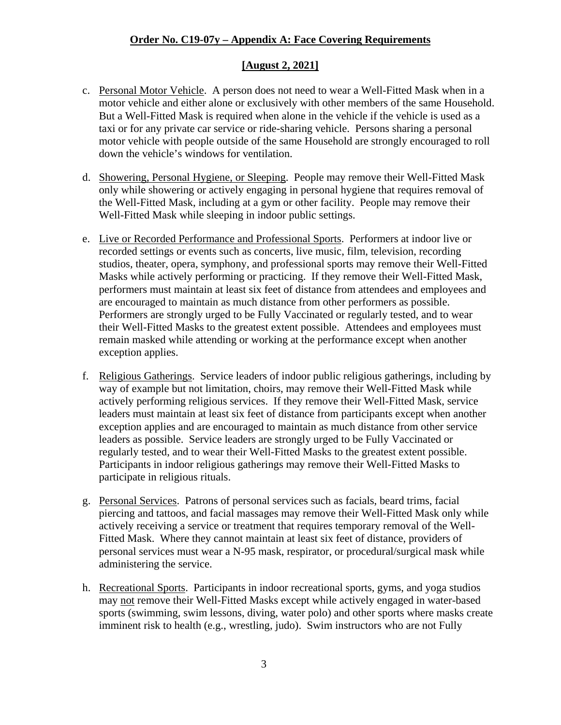### **[August 2, 2021]**

- c. Personal Motor Vehicle. A person does not need to wear a Well-Fitted Mask when in a motor vehicle and either alone or exclusively with other members of the same Household. But a Well-Fitted Mask is required when alone in the vehicle if the vehicle is used as a taxi or for any private car service or ride-sharing vehicle. Persons sharing a personal motor vehicle with people outside of the same Household are strongly encouraged to roll down the vehicle's windows for ventilation.
- d. Showering, Personal Hygiene, or Sleeping. People may remove their Well-Fitted Mask only while showering or actively engaging in personal hygiene that requires removal of the Well-Fitted Mask, including at a gym or other facility. People may remove their Well-Fitted Mask while sleeping in indoor public settings.
- e. Live or Recorded Performance and Professional Sports. Performers at indoor live or recorded settings or events such as concerts, live music, film, television, recording studios, theater, opera, symphony, and professional sports may remove their Well-Fitted Masks while actively performing or practicing. If they remove their Well-Fitted Mask, performers must maintain at least six feet of distance from attendees and employees and are encouraged to maintain as much distance from other performers as possible. Performers are strongly urged to be Fully Vaccinated or regularly tested, and to wear their Well-Fitted Masks to the greatest extent possible. Attendees and employees must remain masked while attending or working at the performance except when another exception applies.
- f. Religious Gatherings. Service leaders of indoor public religious gatherings, including by way of example but not limitation, choirs, may remove their Well-Fitted Mask while actively performing religious services. If they remove their Well-Fitted Mask, service leaders must maintain at least six feet of distance from participants except when another exception applies and are encouraged to maintain as much distance from other service leaders as possible. Service leaders are strongly urged to be Fully Vaccinated or regularly tested, and to wear their Well-Fitted Masks to the greatest extent possible. Participants in indoor religious gatherings may remove their Well-Fitted Masks to participate in religious rituals.
- g. Personal Services. Patrons of personal services such as facials, beard trims, facial piercing and tattoos, and facial massages may remove their Well-Fitted Mask only while actively receiving a service or treatment that requires temporary removal of the Well-Fitted Mask. Where they cannot maintain at least six feet of distance, providers of personal services must wear a N-95 mask, respirator, or procedural/surgical mask while administering the service.
- h. Recreational Sports. Participants in indoor recreational sports, gyms, and yoga studios may not remove their Well-Fitted Masks except while actively engaged in water-based sports (swimming, swim lessons, diving, water polo) and other sports where masks create imminent risk to health (e.g., wrestling, judo). Swim instructors who are not Fully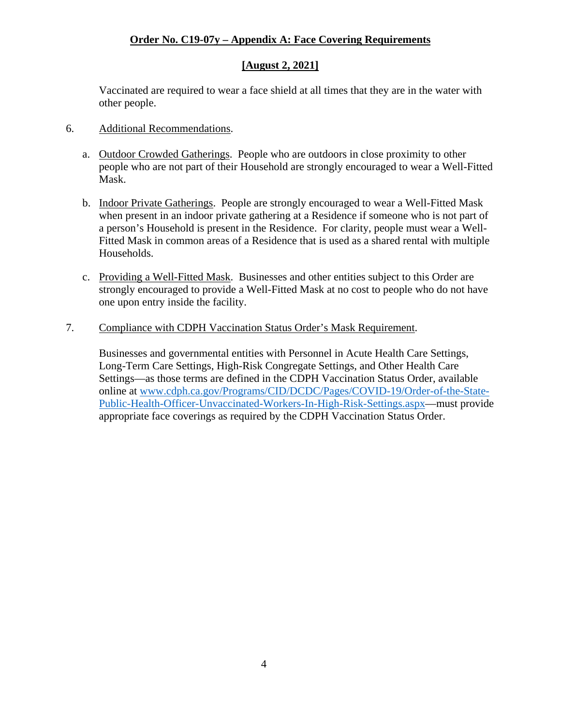## **[August 2, 2021]**

Vaccinated are required to wear a face shield at all times that they are in the water with other people.

- 6. Additional Recommendations.
	- a. Outdoor Crowded Gatherings. People who are outdoors in close proximity to other people who are not part of their Household are strongly encouraged to wear a Well-Fitted Mask.
	- b. Indoor Private Gatherings. People are strongly encouraged to wear a Well-Fitted Mask when present in an indoor private gathering at a Residence if someone who is not part of a person's Household is present in the Residence. For clarity, people must wear a Well-Fitted Mask in common areas of a Residence that is used as a shared rental with multiple Households.
	- c. Providing a Well-Fitted Mask. Businesses and other entities subject to this Order are strongly encouraged to provide a Well-Fitted Mask at no cost to people who do not have one upon entry inside the facility.
- 7. Compliance with CDPH Vaccination Status Order's Mask Requirement.

Businesses and governmental entities with Personnel in Acute Health Care Settings, Long-Term Care Settings, High-Risk Congregate Settings, and Other Health Care Settings—as those terms are defined in the CDPH Vaccination Status Order, available [online at www.cdph.ca.gov/Programs/CID/DCDC/Pages/COVID-19/Order-of-the-State-](www.cdph.ca.gov/Programs/CID/DCDC/Pages/COVID-19/Order-of-the-State-Public-Health-Officer-Unvaccinated-Workers-In-High-Risk-Settings.aspx)Public-Health-Officer-Unvaccinated-Workers-In-High-Risk-Settings.aspx—must provide appropriate face coverings as required by the CDPH Vaccination Status Order.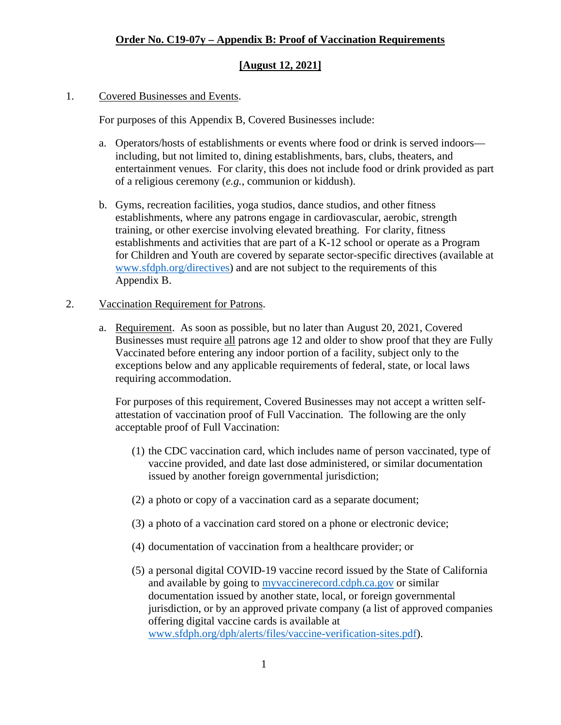## **Order No. C19-07y – Appendix B: Proof of Vaccination Requirements**

## **[August 12, 2021]**

### 1. Covered Businesses and Events.

For purposes of this Appendix B, Covered Businesses include:

- a. Operators/hosts of establishments or events where food or drink is served indoors including, but not limited to, dining establishments, bars, clubs, theaters, and entertainment venues. For clarity, this does not include food or drink provided as part of a religious ceremony (*e.g.*, communion or kiddush).
- b. Gyms, recreation facilities, yoga studios, dance studios, and other fitness establishments, where any patrons engage in cardiovascular, aerobic, strength training, or other exercise involving elevated breathing. For clarity, fitness establishments and activities that are part of a K-12 school or operate as a Program for Children and Youth are covered by separate sector-specific directives (available at www.sfdph.org/directives) and are not subject to the requirements of this Appendix B.

#### 2. Vaccination Requirement for Patrons.

a. Requirement. As soon as possible, but no later than August 20, 2021, Covered Businesses must require all patrons age 12 and older to show proof that they are Fully Vaccinated before entering any indoor portion of a facility, subject only to the exceptions below and any applicable requirements of federal, state, or local laws requiring accommodation.

For purposes of this requirement, Covered Businesses may not accept a written selfattestation of vaccination proof of Full Vaccination. The following are the only acceptable proof of Full Vaccination:

- (1) the CDC vaccination card, which includes name of person vaccinated, type of vaccine provided, and date last dose administered, or similar documentation issued by another foreign governmental jurisdiction;
- (2) a photo or copy of a vaccination card as a separate document;
- (3) a photo of a vaccination card stored on a phone or electronic device;
- (4) documentation of vaccination from a healthcare provider; or
- (5) a personal digital COVID-19 vaccine record issued by the State of California and available by going to [myvaccinerecord.cdph.ca.gov](https://myvaccinerecord.cdph.ca.gov) or similar documentation issued by another state, local, or foreign governmental jurisdiction, or by an approved private company (a list of approved companies offering digital vaccine cards is available at [www.sfdph.org/dph/alerts/files/vaccine-verification-sites.pdf\).](www.sfdph.org/dph/alerts/files/vaccine-verification-sites.pdf)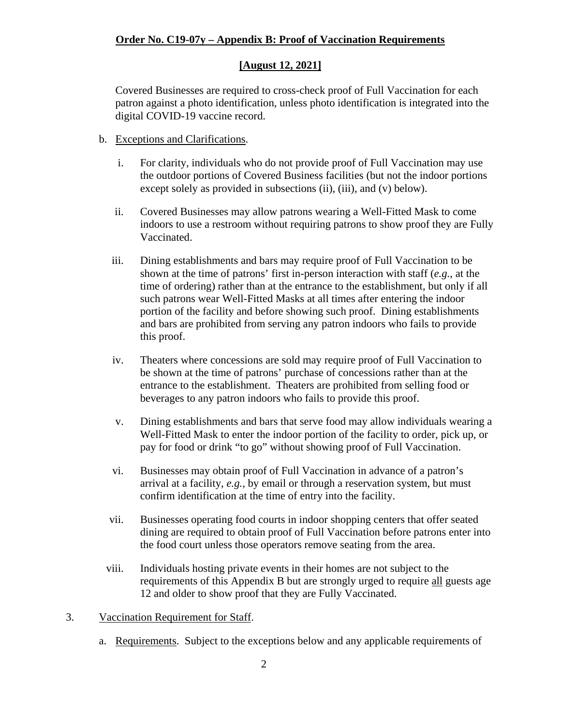## **Order No. C19-07y – Appendix B: Proof of Vaccination Requirements**

## **[August 12, 2021]**

Covered Businesses are required to cross-check proof of Full Vaccination for each patron against a photo identification, unless photo identification is integrated into the digital COVID-19 vaccine record.

- b. Exceptions and Clarifications.
	- i. For clarity, individuals who do not provide proof of Full Vaccination may use the outdoor portions of Covered Business facilities (but not the indoor portions except solely as provided in subsections (ii), (iii), and (v) below).
	- ii. Covered Businesses may allow patrons wearing a Well-Fitted Mask to come indoors to use a restroom without requiring patrons to show proof they are Fully Vaccinated.
	- iii. Dining establishments and bars may require proof of Full Vaccination to be shown at the time of patrons' first in-person interaction with staff (*e.g.*, at the time of ordering) rather than at the entrance to the establishment, but only if all such patrons wear Well-Fitted Masks at all times after entering the indoor portion of the facility and before showing such proof. Dining establishments and bars are prohibited from serving any patron indoors who fails to provide this proof.
	- iv. Theaters where concessions are sold may require proof of Full Vaccination to be shown at the time of patrons' purchase of concessions rather than at the entrance to the establishment. Theaters are prohibited from selling food or beverages to any patron indoors who fails to provide this proof.
	- v. Dining establishments and bars that serve food may allow individuals wearing a Well-Fitted Mask to enter the indoor portion of the facility to order, pick up, or pay for food or drink "to go" without showing proof of Full Vaccination.
	- vi. Businesses may obtain proof of Full Vaccination in advance of a patron's arrival at a facility, *e.g.*, by email or through a reservation system, but must confirm identification at the time of entry into the facility.
	- vii. Businesses operating food courts in indoor shopping centers that offer seated dining are required to obtain proof of Full Vaccination before patrons enter into the food court unless those operators remove seating from the area.
	- viii. Individuals hosting private events in their homes are not subject to the requirements of this Appendix B but are strongly urged to require all guests age 12 and older to show proof that they are Fully Vaccinated.
- 3. Vaccination Requirement for Staff.
	- a. Requirements. Subject to the exceptions below and any applicable requirements of